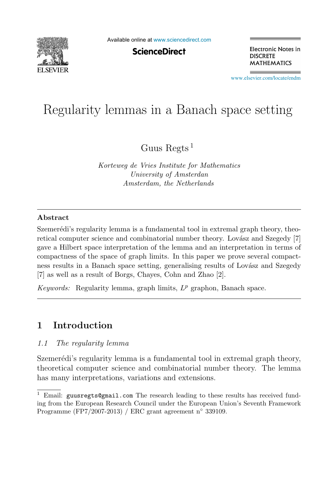

Available online at [www.sciencedirect.com](http://www.sciencedirect.com)

**ScienceDirect** 

Electronic Notes in **DISCRETE MATHEMATICS** 

[www.elsevier.com/locate/endm](http://www.elsevier.com/locate/endm)

# $\mathcal{C}$  is a Banach space setting in a Banach space setting  $\mathcal{C}$

Guus Regts<sup>1</sup>

*Korteweg de Vries Institute for Mathematics University of Amsterdan Amsterdam, the Netherlands*

#### **Abstract**

Szemerédi's regularity lemma is a fundamental tool in extremal graph theory, theoretical computer science and combinatorial number theory. Lovász and Szegedy [7] gave a Hilbert space interpretation of the lemma and an interpretation in terms of compactness of the space of graph limits. In this paper we prove several compactness results in a Banach space setting, generalising results of Lovász and Szegedy [7] as well as a result of Borgs, Chayes, Cohn and Zhao [2].

*Keywords:* Regularity lemma, graph limits,  $L^p$  graphon, Banach space.

## **1 Introduction**

#### 1.1 The regularity lemma

Szemerédi's regularity lemma is a fundamental tool in extremal graph theory, theoretical computer science and combinatorial number theory. The lemma has many interpretations, variations and extensions.

<sup>&</sup>lt;sup>1</sup> Email: guusregts@gmail.com The research leading to these results has received funding from the European Research Council under the European Union's Seventh Framework Programme (FP7/2007-2013) / ERC grant agreement n◦ 339109.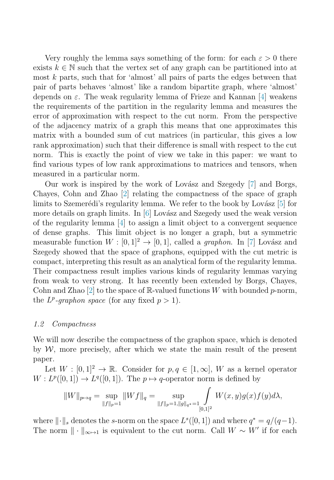Very roughly the lemma says something of the form: for each  $\varepsilon > 0$  there exists  $k \in \mathbb{N}$  such that the vertex set of any graph can be partitioned into at most k parts, such that for 'almost' all pairs of parts the edges between that pair of parts behaves 'almost' like a random bipartite graph, where 'almost' depends on  $\varepsilon$ . The weak regularity lemma of Frieze and Kannan [\[4\]](#page-5-0) weakens the requirements of the partition in the regularity lemma and measures the error of approximation with respect to the cut norm. From the perspective of the adjacency matrix of a graph this means that one approximates this matrix with a bounded sum of cut matrices (in particular, this gives a low rank approximation) such that their difference is small with respect to the cut norm. This is exactly the point of view we take in this paper: we want to find various types of low rank approximations to matrices and tensors, when measured in a particular norm.

Our work is inspired by the work of Lovász and Szegedy [\[7\]](#page-6-0) and Borgs, Chayes, Cohn and Zhao [\[2\]](#page-5-0) relating the compactness of the space of graph limits to Szemerédi's regularity lemma. We refer to the book by Lovász  $[5]$  for more details on graph limits. In  $[6]$  Lovász and Szegedy used the weak version of the regularity lemma [\[4\]](#page-5-0) to assign a limit object to a convergent sequence of dense graphs. This limit object is no longer a graph, but a symmetric measurable function  $W : [0, 1]^2 \rightarrow [0, 1]$ , called a *graphon*. In [\[7\]](#page-6-0) Lovász and Szegedy showed that the space of graphons, equipped with the cut metric is compact, interpreting this result as an analytical form of the regularity lemma. Their compactness result implies various kinds of regularity lemmas varying from weak to very strong. It has recently been extended by Borgs, Chayes, Cohn and Zhao [\[2\]](#page-5-0) to the space of R-valued functions W with bounded p-norm, the  $L^p$ -graphon space (for any fixed  $p > 1$ ).

#### 1.2 Compactness

We will now describe the compactness of the graphon space, which is denoted by  $W$ , more precisely, after which we state the main result of the present paper.

Let  $W : [0, 1]^2 \to \mathbb{R}$ . Consider for  $p, q \in [1, \infty]$ , W as a kernel operator  $W: L^p([0,1]) \to L^q([0,1])$ . The  $p \mapsto q$ -operator norm is defined by

$$
||W||_{p \mapsto q} = \sup_{||f||_p = 1} ||Wf||_q = \sup_{||f||_p = 1, ||g||_{q^*} = 1} \int_{[0,1]^2} W(x,y)g(x)f(y)d\lambda,
$$

where  $\|\cdot\|_s$  denotes the s-norm on the space  $L^s([0, 1])$  and where  $q^* = q/(q-1)$ . The norm  $\|\cdot\|_{\infty\mapsto 1}$  is equivalent to the cut norm. Call  $W \sim W'$  if for each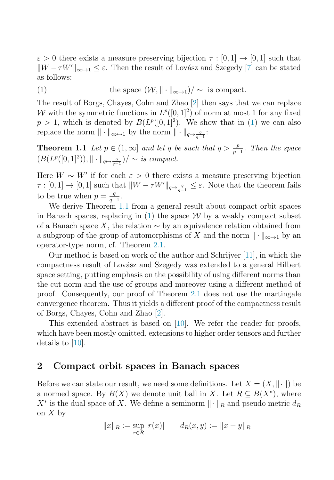<span id="page-2-0"></span> $\varepsilon > 0$  there exists a measure preserving bijection  $\tau : [0,1] \to [0,1]$  such that  $||W - \tau W'||_{\infty \to 1} \leq \varepsilon$ . Then the result of Lovász and Szegedy [\[7\]](#page-6-0) can be stated as follows:

(1) the space  $(W, \|\cdot\|_{\infty \mapsto 1})/\sim$  is compact.

The result of Borgs, Chayes, Cohn and Zhao [\[2\]](#page-5-0) then says that we can replace W with the symmetric functions in  $L^p([0, 1]^2)$  of norm at most 1 for any fixed  $p > 1$ , which is denoted by  $B(L^p([0, 1]^2))$ . We show that in (1) we can also replace the norm  $\|\cdot\|_{\infty\mapsto 1}$  by the norm  $\|\cdot\|_{q\mapsto \frac{q}{q-1}}$ :

**Theorem 1.1** Let  $p \in (1,\infty]$  and let q be such that  $q > \frac{p}{p-1}$ . Then the space  $(P(Tp([0, 1]^2))) \perp \perp_{\infty})$  is compact.  $(B(L^p([0, 1]^2)), \|\cdot\|_{q \mapsto \frac{q}{q-1}})/\sim$  is compact.

Here  $W \sim W'$  if for each  $\varepsilon > 0$  there exists a measure preserving bijection  $\tau : [0,1] \to [0,1]$  such that  $\|W - \tau W'\|_{q \mapsto \frac{q}{q-1}} \leq \varepsilon$ . Note that the theorem fails to be true when  $p = \frac{q}{q-1}$ .<br>We derive Theorem 1

We derive Theorem 1.1 from a general result about compact orbit spaces in Banach spaces, replacing in  $(1)$  the space W by a weakly compact subset of a Banach space X, the relation  $\sim$  by an equivalence relation obtained from a subgroup of the group of automorphisms of X and the norm  $\|\cdot\|_{\infty\mapsto 1}$  by an operator-type norm, cf. Theorem [2.1.](#page-3-0)

Our method is based on work of the author and Schrijver [\[11\]](#page-6-0), in which the compactness result of Lovász and Szegedy was extended to a general Hilbert space setting, putting emphasis on the possibility of using different norms than the cut norm and the use of groups and moreover using a different method of proof. Consequently, our proof of Theorem [2.1](#page-3-0) does not use the martingale convergence theorem. Thus it yields a different proof of the compactness result of Borgs, Chayes, Cohn and Zhao [\[2\]](#page-5-0).

This extended abstract is based on  $[10]$ . We refer the reader for proofs, which have been mostly omitted, extensions to higher order tensors and further details to [\[10\]](#page-6-0).

#### **2 Compact orbit spaces in Banach spaces**

Before we can state our result, we need some definitions. Let  $X = (X, \|\cdot\|)$  be a normed space. By  $B(X)$  we denote unit ball in X. Let  $R \subseteq B(X^*)$ , where  $X^*$  is the dual space of X. We define a seminorm  $\|\cdot\|_R$  and pseudo metric  $d_R$ on  $X$  by

$$
||x||_R := \sup_{r \in R} |r(x)|
$$
  $d_R(x, y) := ||x - y||_R$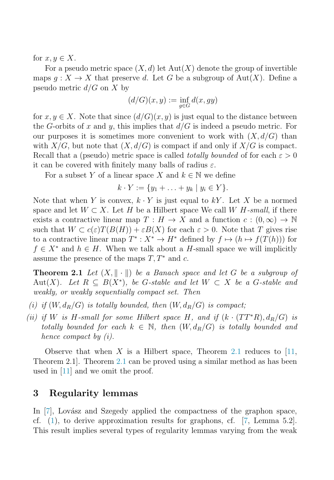<span id="page-3-0"></span>for  $x, y \in X$ .

For a pseudo metric space  $(X, d)$  let  $Aut(X)$  denote the group of invertible maps  $q: X \to X$  that preserve d. Let G be a subgroup of Aut $(X)$ . Define a pseudo metric  $d/G$  on X by

$$
(d/G)(x,y) := \inf_{g \in G} d(x, gy)
$$

for  $x, y \in X$ . Note that since  $(d/G)(x, y)$  is just equal to the distance between the G-orbits of x and y, this implies that  $d/G$  is indeed a pseudo metric. For our purposes it is sometimes more convenient to work with  $(X, d/G)$  than with  $X/G$ , but note that  $(X, d/G)$  is compact if and only if  $X/G$  is compact. Recall that a (pseudo) metric space is called *totally bounded* of for each  $\varepsilon > 0$ it can be covered with finitely many balls of radius  $\varepsilon$ .

For a subset Y of a linear space X and  $k \in \mathbb{N}$  we define

 $k \cdot Y := \{y_1 + \ldots + y_k \mid y_i \in Y\}.$ 

Note that when Y is convex,  $k \cdot Y$  is just equal to kY. Let X be a normed space and let  $W \subset X$ . Let H be a Hilbert space We call W H-small, if there exists a contractive linear map  $T : H \to X$  and a function  $c : (0, \infty) \to \mathbb{N}$ such that  $W \subset c(\varepsilon)T(B(H)) + \varepsilon B(X)$  for each  $\varepsilon > 0$ . Note that T gives rise to a contractive linear map  $T^* : X^* \to H^*$  defined by  $f \mapsto (h \mapsto f(T(h)))$  for  $f \in X^*$  and  $h \in H$ . When we talk about a H-small space we will implicitly assume the presence of the maps  $T, T^*$  and c.

**Theorem 2.1** Let  $(X, \|\cdot\|)$  be a Banach space and let G be a subgroup of Aut(X). Let  $R \subseteq B(X^*)$ , be G-stable and let  $W \subset X$  be a G-stable and weakly, or weakly sequentially compact set. Then

- (i) if  $(W, d_R/G)$  is totally bounded, then  $(W, d_R/G)$  is compact;
- (ii) if W is H-small for some Hilbert space H, and if  $(k \cdot (TT^*R), d_R/G)$  is totally bounded for each  $k \in \mathbb{N}$ , then  $(W, d_R/G)$  is totally bounded and hence compact by (i).

Observe that when X is a Hilbert space, Theorem 2.1 reduces to  $[11]$ , Theorem 2.1]. Theorem 2.1 can be proved using a similar method as has been used in [\[11\]](#page-6-0) and we omit the proof.

### **3 Regularity lemmas**

In  $[7]$ , Lovász and Szegedy applied the compactness of the graphon space, cf. [\(1\)](#page-2-0), to derive approximation results for graphons, cf. [\[7,](#page-6-0) Lemma 5.2]. This result implies several types of regularity lemmas varying from the weak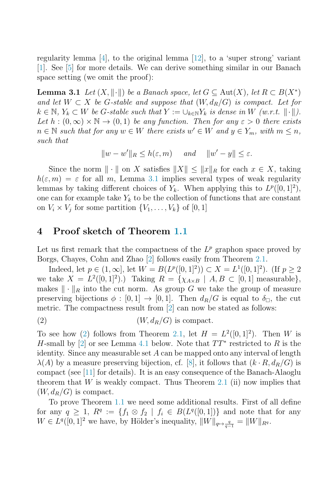<span id="page-4-0"></span>regularity lemma [\[4\]](#page-5-0), to the original lemma [\[12\]](#page-6-0), to a 'super strong' variant [\[1\]](#page-5-0). See [\[5\]](#page-6-0) for more details. We can derive something similar in our Banach space setting (we omit the proof):

**Lemma 3.1** Let  $(X, \|\cdot\|)$  be a Banach space, let  $G \subseteq Aut(X)$ , let  $R \subset B(X^*)$ and let  $W \subset X$  be G-stable and suppose that  $(W, d_R/G)$  is compact. Let for  $k \in \mathbb{N}, Y_k \subset W$  be G-stable such that  $Y := \bigcup_{k \in \mathbb{N}} Y_k$  is dense in W  $(w.r.t. ||\cdot||)$ . Let  $h : (0, \infty) \times \mathbb{N} \to (0, 1)$  be any function. Then for any  $\varepsilon > 0$  there exists  $n \in \mathbb{N}$  such that for any  $w \in W$  there exists  $w' \in W$  and  $y \in Y_m$ , with  $m \leq n$ , such that

$$
||w - w'||_R \le h(\varepsilon, m)
$$
 and  $||w' - y|| \le \varepsilon$ .

Since the norm  $\|\cdot\|$  on X satisfies  $\|X\| \leq \|x\|_R$  for each  $x \in X$ , taking  $h(\varepsilon, m) = \varepsilon$  for all m, Lemma 3.1 implies several types of weak regularity lemmas by taking different choices of  $Y_k$ . When applying this to  $L^p([0, 1]^2)$ , one can for example take  $Y_k$  to be the collection of functions that are constant on  $V_i \times V_j$  for some partition  $\{V_1, \ldots, V_k\}$  of  $[0, 1]$ 

#### **4 Proof sketch of Theorem [1.1](#page-2-0)**

Let us first remark that the compactness of the  $L^p$  graphon space proved by Borgs, Chayes, Cohn and Zhao [\[2\]](#page-5-0) follows easily from Theorem [2.1.](#page-3-0)

Indeed, let  $p \in (1,\infty]$ , let  $W = B(L^p([0,1]^2)) \subset X = L^1([0,1]^2)$ . (If  $p > 2$ ) we take  $X = L^2([0,1]^2)$ .) Taking  $R = \{\chi_{A \times B} \mid A, B \subset [0,1] \text{ measurable}\},\$ makes  $\|\cdot\|_R$  into the cut norm. As group G we take the group of measure preserving bijections  $\phi : [0,1] \to [0,1]$ . Then  $d_R/G$  is equal to  $\delta_{\Box}$ , the cut metric. The compactness result from [\[2\]](#page-5-0) can now be stated as follows:

$$
(2) \t\t\t(W, d_R/G) \t{is compact.}
$$

To see how (2) follows from Theorem [2.1,](#page-3-0) let  $H = L^2([0,1]^2)$ . Then W is H-small by [\[2\]](#page-5-0) or see Lemma 4.1 below. Note that  $TT^*$  restricted to R is the identity. Since any measurable set  $A$  can be mapped onto any interval of length  $\lambda(A)$  by a measure preserving bijection, cf. [\[8\]](#page-6-0), it follows that  $(k \cdot R, d_R/G)$  is compact (see [\[11\]](#page-6-0) for details). It is an easy consequence of the Banach-Alaoglu theorem that W is weakly compact. Thus Theorem [2.1](#page-3-0) (ii) now implies that  $(W, d<sub>R</sub>/G)$  is compact.

To prove Theorem [1.1](#page-2-0) we need some additional results. First of all define for any  $q \geq 1$ ,  $R^q := \{f_1 \otimes f_2 \mid f_i \in B(L^q([0,1])\}$  and note that for any  $W \in L^q([0,1]^2$  we have, by Hölder's inequality,  $||W||_{q \mapsto \frac{q}{q-1}} = ||W||_{R^q}.$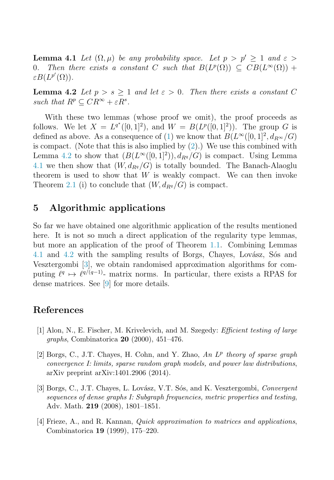<span id="page-5-0"></span>**Lemma 4.1** Let  $(\Omega, \mu)$  be any probability space. Let  $p > p' \ge 1$  and  $\varepsilon > 0$ . Then there exists a constant C such that  $B(L^p(\Omega)) \subseteq CB(L^{\infty}(\Omega))$  + Then there exists a constant C such that  $B(L^p(\Omega)) \subseteq CB(L^{\infty}(\Omega))$  +  $\varepsilon B(L^{p'}(\Omega)).$ 

**Lemma 4.2** Let  $p > s \ge 1$  and let  $\varepsilon > 0$ . Then there exists a constant C such that  $R^p \subset CR^{\infty} + \varepsilon R^s$ .

With these two lemmas (whose proof we omit), the proof proceeds as follows. We let  $X = L^{q^*}([0,1]^2)$ , and  $W = B(L^p([0,1]^2))$ . The group G is defined as above. As a consequence of [\(1\)](#page-2-0) we know that  $B(L^{\infty}([0,1]^2, d_{R^{\infty}}/G))$ is compact. (Note that this is also implied by  $(2)$ .) We use this combined with Lemma 4.2 to show that  $(B(L^{\infty}([0, 1]^2)), d_{Rq}/G)$  is compact. Using Lemma [4.1](#page-4-0) we then show that  $(W, d_{R^q}/G)$  is totally bounded. The Banach-Alaoglu theorem is used to show that  $W$  is weakly compact. We can then invoke Theorem [2.1](#page-3-0) (i) to conclude that  $(W, d_{Rq}/G)$  is compact.

#### **5 Algorithmic applications**

So far we have obtained one algorithmic application of the results mentioned here. It is not so much a direct application of the regularity type lemmas, but more an application of the proof of Theorem [1.1.](#page-2-0) Combining Lemmas [4.1](#page-4-0) and 4.2 with the sampling results of Borgs, Chayes, Lovász, Sós and Vesztergombi [3], we obtain randomised approximation algorithms for computing  $\ell^q \mapsto \ell^{q/(q-1)}$ - matrix norms. In particular, there exists a RPAS for dense matrices. See [\[9\]](#page-6-0) for more details.

### **References**

- [1] Alon, N., E. Fischer, M. Krivelevich, and M. Szegedy: *Efficient testing of large graphs*, Combinatorica **20** (2000), 451–476.
- [2] Borgs, C., J.T. Chayes, H. Cohn, and Y. Zhao, *An* L<sup>p</sup> *theory of sparse graph convergence I: limits, sparse random graph models, and power law distributions*, arXiv preprint arXiv:1401.2906 (2014).
- [3] Borgs, C., J.T. Chayes, L. Lov´asz, V.T. S´os, and K. Vesztergombi, *Convergent sequences of dense graphs I: Subgraph frequencies, metric properties and testing*, Adv. Math. **219** (2008), 1801–1851.
- [4] Frieze, A., and R. Kannan, *Quick approximation to matrices and applications*, Combinatorica **19** (1999), 175–220.